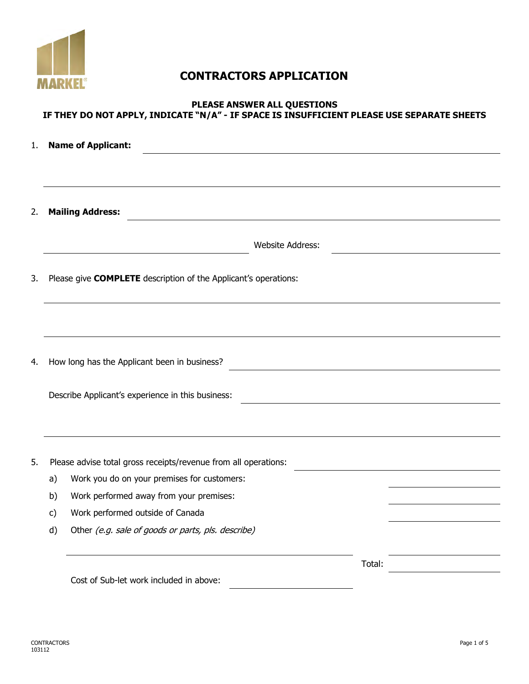

# **CONTRACTORS APPLICATION**

## **PLEASE ANSWER ALL QUESTIONS IF THEY DO NOT APPLY, INDICATE "N/A" - IF SPACE IS INSUFFICIENT PLEASE USE SEPARATE SHEETS**

| 1. | <b>Name of Applicant:</b> |                                                                 |        |  |  |  |  |
|----|---------------------------|-----------------------------------------------------------------|--------|--|--|--|--|
|    |                           |                                                                 |        |  |  |  |  |
| 2. |                           | <b>Mailing Address:</b>                                         |        |  |  |  |  |
|    |                           | <b>Website Address:</b>                                         |        |  |  |  |  |
| 3. |                           | Please give COMPLETE description of the Applicant's operations: |        |  |  |  |  |
|    |                           |                                                                 |        |  |  |  |  |
| 4. |                           | How long has the Applicant been in business?                    |        |  |  |  |  |
|    |                           | Describe Applicant's experience in this business:               |        |  |  |  |  |
|    |                           |                                                                 |        |  |  |  |  |
| 5. |                           | Please advise total gross receipts/revenue from all operations: |        |  |  |  |  |
|    | a)                        | Work you do on your premises for customers:                     |        |  |  |  |  |
|    | b)                        | Work performed away from your premises:                         |        |  |  |  |  |
|    | c)                        | Work performed outside of Canada                                |        |  |  |  |  |
|    | d)                        | Other (e.g. sale of goods or parts, pls. describe)              |        |  |  |  |  |
|    |                           |                                                                 | Total: |  |  |  |  |
|    |                           | Cost of Sub-let work included in above:                         |        |  |  |  |  |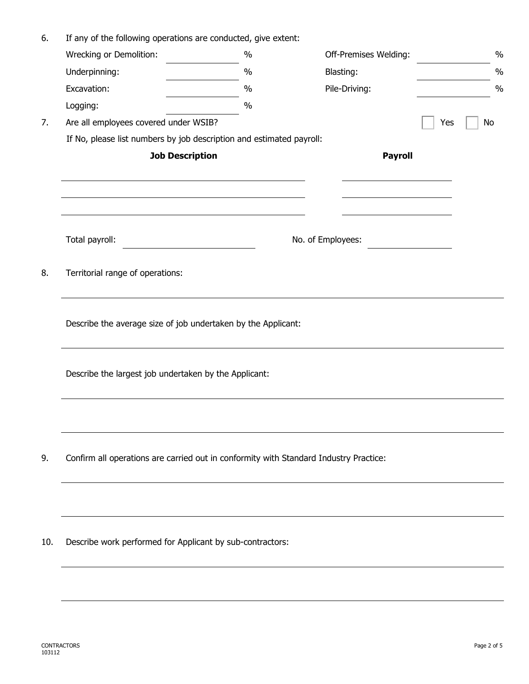| 6.  | If any of the following operations are conducted, give extent:                        |      |                   |                       |     |               |  |  |
|-----|---------------------------------------------------------------------------------------|------|-------------------|-----------------------|-----|---------------|--|--|
|     | Wrecking or Demolition:                                                               | $\%$ |                   | Off-Premises Welding: |     | $\%$          |  |  |
|     | Underpinning:                                                                         | $\%$ | Blasting:         |                       |     | $\frac{0}{0}$ |  |  |
|     | Excavation:                                                                           | $\%$ |                   | Pile-Driving:         |     | $\frac{0}{0}$ |  |  |
|     | Logging:                                                                              | $\%$ |                   |                       |     |               |  |  |
| 7.  | Are all employees covered under WSIB?                                                 |      |                   |                       | Yes | No            |  |  |
|     | If No, please list numbers by job description and estimated payroll:                  |      |                   |                       |     |               |  |  |
|     | <b>Job Description</b>                                                                |      |                   | <b>Payroll</b>        |     |               |  |  |
|     |                                                                                       |      |                   |                       |     |               |  |  |
|     |                                                                                       |      |                   |                       |     |               |  |  |
|     | Total payroll:                                                                        |      | No. of Employees: |                       |     |               |  |  |
| 8.  | Territorial range of operations:                                                      |      |                   |                       |     |               |  |  |
|     | Describe the average size of job undertaken by the Applicant:                         |      |                   |                       |     |               |  |  |
|     | Describe the largest job undertaken by the Applicant:                                 |      |                   |                       |     |               |  |  |
|     |                                                                                       |      |                   |                       |     |               |  |  |
| 9.  | Confirm all operations are carried out in conformity with Standard Industry Practice: |      |                   |                       |     |               |  |  |
|     |                                                                                       |      |                   |                       |     |               |  |  |
| 10. | Describe work performed for Applicant by sub-contractors:                             |      |                   |                       |     |               |  |  |
|     |                                                                                       |      |                   |                       |     |               |  |  |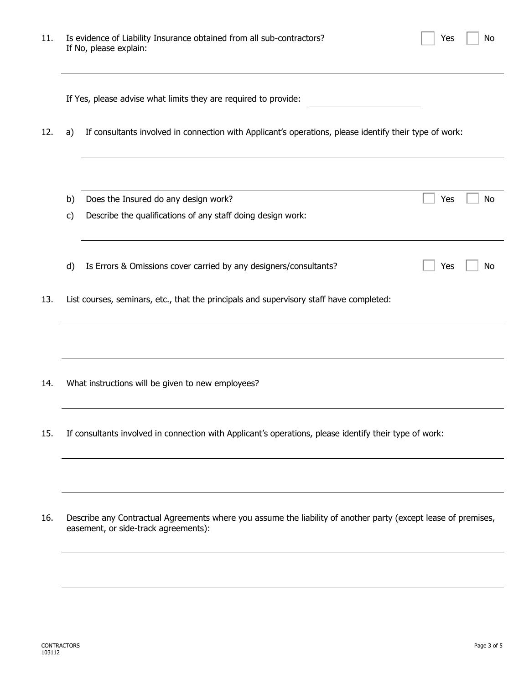| 11. | Is evidence of Liability Insurance obtained from all sub-contractors?<br>If No, please explain:                                                        | Yes                                                                                                    | No  |           |  |  |  |
|-----|--------------------------------------------------------------------------------------------------------------------------------------------------------|--------------------------------------------------------------------------------------------------------|-----|-----------|--|--|--|
|     |                                                                                                                                                        | If Yes, please advise what limits they are required to provide:                                        |     |           |  |  |  |
| 12. | a)                                                                                                                                                     | If consultants involved in connection with Applicant's operations, please identify their type of work: |     |           |  |  |  |
|     |                                                                                                                                                        |                                                                                                        |     |           |  |  |  |
|     | b)<br>C)                                                                                                                                               | Does the Insured do any design work?<br>Describe the qualifications of any staff doing design work:    | Yes | <b>No</b> |  |  |  |
|     |                                                                                                                                                        |                                                                                                        |     |           |  |  |  |
|     | d)                                                                                                                                                     | Is Errors & Omissions cover carried by any designers/consultants?                                      | Yes | No        |  |  |  |
| 13. |                                                                                                                                                        | List courses, seminars, etc., that the principals and supervisory staff have completed:                |     |           |  |  |  |
|     |                                                                                                                                                        |                                                                                                        |     |           |  |  |  |
| 14. |                                                                                                                                                        | What instructions will be given to new employees?                                                      |     |           |  |  |  |
| 15. | If consultants involved in connection with Applicant's operations, please identify their type of work:                                                 |                                                                                                        |     |           |  |  |  |
|     |                                                                                                                                                        |                                                                                                        |     |           |  |  |  |
| 16. | Describe any Contractual Agreements where you assume the liability of another party (except lease of premises,<br>easement, or side-track agreements): |                                                                                                        |     |           |  |  |  |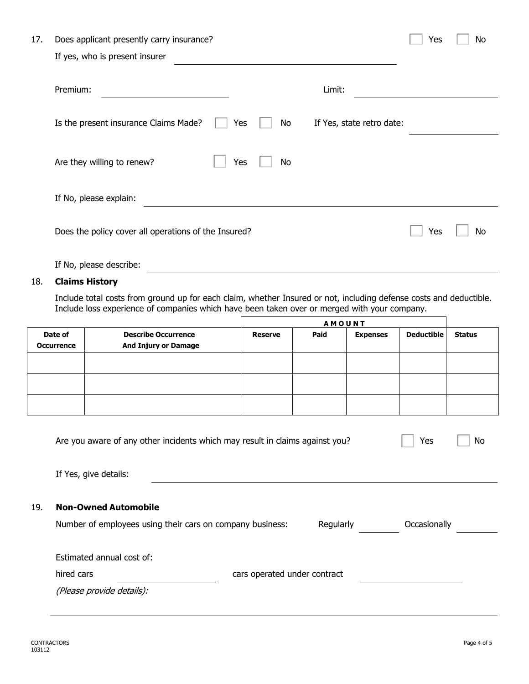| 17. | Does applicant presently carry insurance?                                       | Yes | No |
|-----|---------------------------------------------------------------------------------|-----|----|
|     | If yes, who is present insurer                                                  |     |    |
|     | Premium:<br>Limit:                                                              |     |    |
|     | Is the present insurance Claims Made?<br>Yes<br>No<br>If Yes, state retro date: |     |    |
|     | Are they willing to renew?<br>Yes<br>No.                                        |     |    |
|     | If No, please explain:                                                          |     |    |
|     | Does the policy cover all operations of the Insured?                            | Yes | No |

If No, please describe:

#### 18. **Claims History**

Include total costs from ground up for each claim, whether Insured or not, including defense costs and deductible. Include loss experience of companies which have been taken over or merged with your company.

|                              |                                                           | <b>AMOUNT</b>  |      |                 |                   |               |
|------------------------------|-----------------------------------------------------------|----------------|------|-----------------|-------------------|---------------|
| Date of<br><b>Occurrence</b> | <b>Describe Occurrence</b><br><b>And Injury or Damage</b> | <b>Reserve</b> | Paid | <b>Expenses</b> | <b>Deductible</b> | <b>Status</b> |
|                              |                                                           |                |      |                 |                   |               |
|                              |                                                           |                |      |                 |                   |               |
|                              |                                                           |                |      |                 |                   |               |

| Are you aware of any other incidents which may result in claims against you? |                              |           | Yes<br>No    |
|------------------------------------------------------------------------------|------------------------------|-----------|--------------|
| If Yes, give details:                                                        |                              |           |              |
| <b>Non-Owned Automobile</b>                                                  |                              |           |              |
| Number of employees using their cars on company business:                    |                              | Regularly | Occasionally |
| Estimated annual cost of:                                                    |                              |           |              |
| hired cars                                                                   | cars operated under contract |           |              |
| (Please provide details):                                                    |                              |           |              |
|                                                                              |                              |           |              |

19. **Non-Owned Automobile**